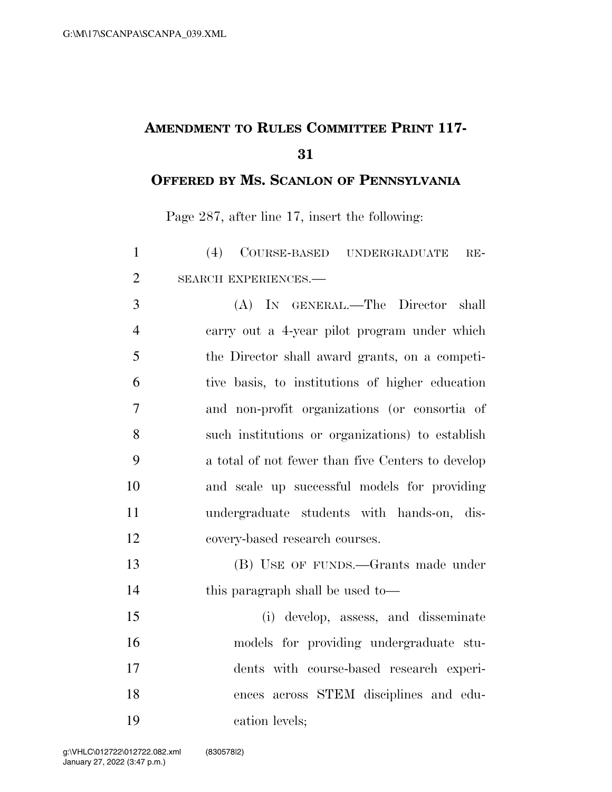## **AMENDMENT TO RULES COMMITTEE PRINT 117-**

## **OFFERED BY MS. SCANLON OF PENNSYLVANIA**

Page 287, after line 17, insert the following:

| $\mathbf{1}$   | (4) COURSE-BASED UNDERGRADUATE<br>$RE-$           |
|----------------|---------------------------------------------------|
| $\overline{2}$ | SEARCH EXPERIENCES.-                              |
| 3              | (A) IN GENERAL.—The Director shall                |
| $\overline{4}$ | carry out a 4-year pilot program under which      |
| 5              | the Director shall award grants, on a competi-    |
| 6              | tive basis, to institutions of higher education   |
| 7              | and non-profit organizations (or consortia of     |
| 8              | such institutions or organizations) to establish  |
| 9              | a total of not fewer than five Centers to develop |
| 10             | and scale up successful models for providing      |
| 11             | undergraduate students with hands-on, dis-        |
| 12             | covery-based research courses.                    |
| 13             | (B) USE OF FUNDS.—Grants made under               |
| 14             | this paragraph shall be used to-                  |
| 15             | (i) develop, assess, and disseminate              |
| 16             | models for providing undergraduate stu-           |
| 17             | dents with course-based research experi-          |
| 18             | ences across STEM disciplines and edu-            |
| 19             | cation levels;                                    |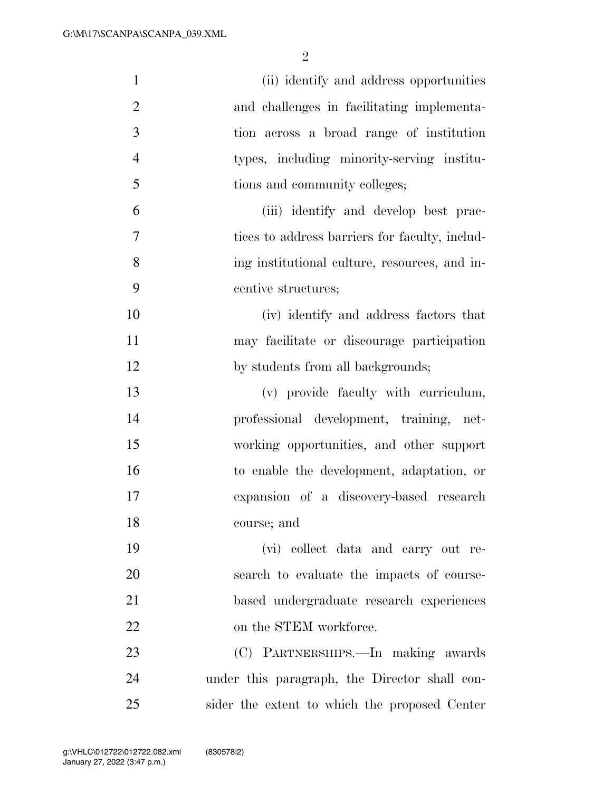| $\mathbf{1}$   | (ii) identify and address opportunities        |
|----------------|------------------------------------------------|
| $\overline{2}$ | and challenges in facilitating implementa-     |
| 3              | tion across a broad range of institution       |
| $\overline{4}$ | types, including minority-serving institu-     |
| 5              | tions and community colleges;                  |
| 6              | (iii) identify and develop best prac-          |
| 7              | tices to address barriers for faculty, includ- |
| 8              | ing institutional culture, resources, and in-  |
| 9              | centive structures;                            |
| 10             | (iv) identify and address factors that         |
| 11             | may facilitate or discourage participation     |
| 12             | by students from all backgrounds;              |
| 13             | (v) provide faculty with curriculum,           |
| 14             | professional development, training, net-       |
| 15             | working opportunities, and other support       |
| 16             | to enable the development, adaptation, or      |
| 17             | expansion of a discovery-based research        |
| 18             | course; and                                    |
| 19             | (vi) collect data and carry out re-            |
| 20             | search to evaluate the impacts of course-      |
| 21             | based undergraduate research experiences       |
| 22             | on the STEM workforce.                         |
| 23             | (C) PARTNERSHIPS.—In making awards             |
| 24             | under this paragraph, the Director shall con-  |
| 25             | sider the extent to which the proposed Center  |